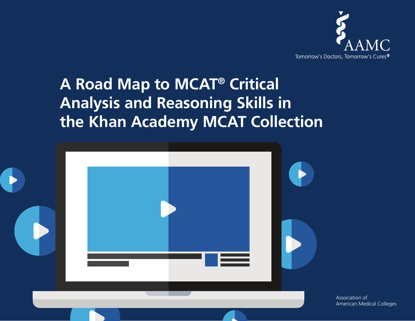

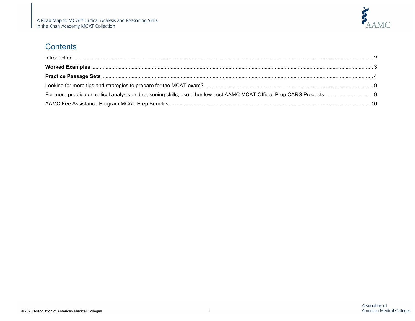

#### **Contents**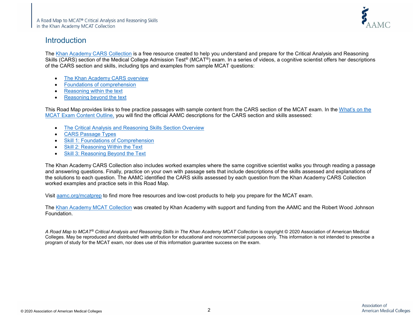

#### <span id="page-2-0"></span>Introduction

The [Khan Academy CARS Collection](https://www.khanacademy.org/test-prep/mcat/critical-analysis-and-reasoning-skills-practice-questions#critical-analysis-and-reasoning-skills-tutorial) is a free resource created to help you understand and prepare for the Critical Analysis and Reasoning Skills (CARS) section of the Medical College Admission Test® (MCAT®) exam. In a series of videos, a cognitive scientist offers her descriptions of the CARS section and skills, including tips and examples from sample MCAT questions:

- The [Khan Academy CARS overview](https://www.khanacademy.org/test-prep/mcat/critical-analysis-and-reasoning-skills-practice-questions/critical-analysis-and-reasoning-skills-tutorial/v/cars-overview)
- [Foundations of comprehension](https://www.khanacademy.org/test-prep/mcat/critical-analysis-and-reasoning-skills-practice-questions/critical-analysis-and-reasoning-skills-tutorial/v/foc)
- [Reasoning within the text](https://www.khanacademy.org/test-prep/mcat/critical-analysis-and-reasoning-skills-practice-questions/critical-analysis-and-reasoning-skills-tutorial/v/rwt)
- [Reasoning beyond the text](https://www.khanacademy.org/test-prep/mcat/critical-analysis-and-reasoning-skills-practice-questions/critical-analysis-and-reasoning-skills-tutorial/v/rbt)

This Road Map provides links to free practice passages with sample content from the CARS section of the MCAT exam. In the [What's on the](https://students-residents.aamc.org/applying-medical-school/article/whats-mcat-exam/)  [MCAT Exam Content Outline,](https://students-residents.aamc.org/applying-medical-school/article/whats-mcat-exam/) you will find the official AAMC descriptions for the CARS section and skills assessed:

- [The Critical Analysis and Reasoning Skills Section Overview](https://students-residents.aamc.org/applying-medical-school/article/mcat-2015-cars-overview/)
- [CARS Passage Types](https://students-residents.aamc.org/applying-medical-school/article/mcat-2015-cars-passage-types/)
- [Skill 1: Foundations of Comprehension](https://students-residents.aamc.org/applying-medical-school/article/mcat-2015-cars-skill1/)
- [Skill 2: Reasoning Within the Text](https://students-residents.aamc.org/applying-medical-school/article/mcat-2015-cars-skill2/)
- [Skill 3: Reasoning Beyond the Text](https://students-residents.aamc.org/applying-medical-school/article/mcat-2015-cars-skill3/)

The Khan Academy CARS Collection also includes worked examples where the same cognitive scientist walks you through reading a passage and answering questions. Finally, practice on your own with passage sets that include descriptions of the skills assessed and explanations of the solutions to each question. The AAMC identified the CARS skills assessed by each question from the Khan Academy CARS Collection worked examples and practice sets in this Road Map.

Visit [aamc.org/mcatprep](https://students-residents.aamc.org/applying-medical-school/taking-mcat-exam/prepare-mcat-exam/) to find more free resources and low-cost products to help you prepare for the MCAT exam.

The [Khan Academy MCAT Collection](https://www.khanacademy.org/test-prep/mcat) was created by Khan Academy with support and funding from the AAMC and the Robert Wood Johnson Foundation.

*A Road Map to MCAT® Critical Analysis and Reasoning Skills in The Khan Academy MCAT Collection* is copyright © 2020 Association of American Medical Colleges. May be reproduced and distributed with attribution for educational and noncommercial purposes only. This information is not intended to prescribe a program of study for the MCAT exam, nor does use of this information guarantee success on the exam.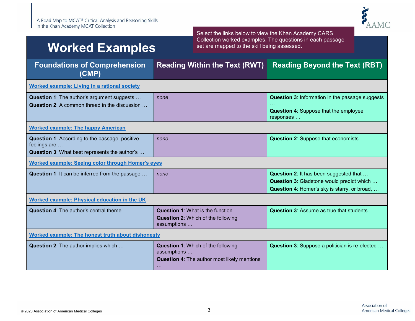

## <span id="page-3-0"></span>**Worked Examples**

Select the links below to view the Khan Academy CARS Collection worked examples. The questions in each passage set are mapped to the skill being assessed.

| <b>Foundations of Comprehension</b><br>(CMP)                                                                    | <b>Reading Within the Text (RWT)</b>                                                                                  | <b>Reading Beyond the Text (RBT)</b>                                                                                                |
|-----------------------------------------------------------------------------------------------------------------|-----------------------------------------------------------------------------------------------------------------------|-------------------------------------------------------------------------------------------------------------------------------------|
| <b>Worked example: Living in a rational society</b>                                                             |                                                                                                                       |                                                                                                                                     |
| Question 1: The author's argument suggests<br>Question 2: A common thread in the discussion                     | none                                                                                                                  | <b>Question 3: Information in the passage suggests</b><br><b>Question 4: Suppose that the employee</b><br>responses                 |
| <b>Worked example: The happy American</b>                                                                       |                                                                                                                       |                                                                                                                                     |
| Question 1: According to the passage, positive<br>feelings are<br>Question 3: What best represents the author's | none                                                                                                                  | Question 2: Suppose that economists                                                                                                 |
| <b>Worked example: Seeing color through Homer's eyes</b>                                                        |                                                                                                                       |                                                                                                                                     |
| Question 1: It can be inferred from the passage                                                                 | none                                                                                                                  | Question 2: It has been suggested that<br>Question 3: Gladstone would predict which<br>Question 4: Homer's sky is starry, or broad, |
| Worked example: Physical education in the UK                                                                    |                                                                                                                       |                                                                                                                                     |
| <b>Question 4: The author's central theme </b>                                                                  | Question 1: What is the function<br><b>Question 2: Which of the following</b><br>assumptions                          | <b>Question 3: Assume as true that students </b>                                                                                    |
| Worked example: The honest truth about dishonesty                                                               |                                                                                                                       |                                                                                                                                     |
| <b>Question 2:</b> The author implies which                                                                     | <b>Question 1: Which of the following</b><br>assumptions<br>Question 4: The author most likely mentions<br>$\sim 100$ | Question 3: Suppose a politician is re-elected                                                                                      |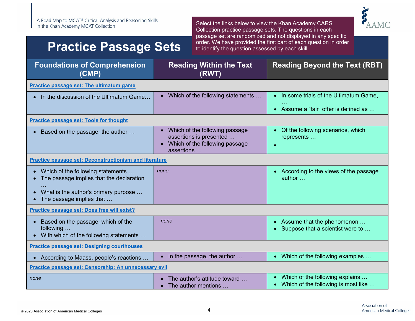### <span id="page-4-0"></span>**Practice Passage Sets**



| <b>Foundations of Comprehension</b><br>(CMP)                                                                                                        | <b>Reading Within the Text</b><br>(RWT)                                                                   | <b>Reading Beyond the Text (RBT)</b>                                                                   |
|-----------------------------------------------------------------------------------------------------------------------------------------------------|-----------------------------------------------------------------------------------------------------------|--------------------------------------------------------------------------------------------------------|
| Practice passage set: The ultimatum game                                                                                                            |                                                                                                           |                                                                                                        |
| In the discussion of the Ultimatum Game                                                                                                             | Which of the following statements                                                                         | In some trials of the Ultimatum Game,<br>$\bullet$<br>Assume a "fair" offer is defined as<br>$\bullet$ |
| <b>Practice passage set: Tools for thought</b>                                                                                                      |                                                                                                           |                                                                                                        |
| Based on the passage, the author<br>$\bullet$                                                                                                       | Which of the following passage<br>assertions is presented<br>Which of the following passage<br>assertions | • Of the following scenarios, which<br>represents                                                      |
| <b>Practice passage set: Deconstructionism and literature</b>                                                                                       |                                                                                                           |                                                                                                        |
| • Which of the following statements<br>The passage implies that the declaration<br>What is the author's primary purpose<br>The passage implies that | none                                                                                                      | • According to the views of the passage<br>author                                                      |
| Practice passage set: Does free will exist?                                                                                                         |                                                                                                           |                                                                                                        |
| Based on the passage, which of the<br>following<br>With which of the following statements                                                           | none                                                                                                      | Assume that the phenomenon<br>$\bullet$<br>Suppose that a scientist were to                            |
| <b>Practice passage set: Designing courthouses</b>                                                                                                  |                                                                                                           |                                                                                                        |
| • According to Maass, people's reactions                                                                                                            | In the passage, the author                                                                                | Which of the following examples<br>$\bullet$                                                           |
| Practice passage set: Censorship: An unnecessary evil                                                                                               |                                                                                                           |                                                                                                        |
| none                                                                                                                                                | The author's attitude toward<br>The author mentions                                                       | Which of the following explains<br>Which of the following is most like<br>$\bullet$                    |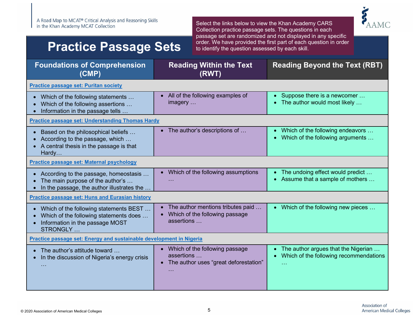### **Practice Passage Sets**



| <b>Foundations of Comprehension</b><br>(CMP)                                                                                           | <b>Reading Within the Text</b><br>(RWT)                                                                 | <b>Reading Beyond the Text (RBT)</b>                                          |
|----------------------------------------------------------------------------------------------------------------------------------------|---------------------------------------------------------------------------------------------------------|-------------------------------------------------------------------------------|
| <b>Practice passage set: Puritan society</b>                                                                                           |                                                                                                         |                                                                               |
| Which of the following statements<br>Which of the following assertions<br>Information in the passage tells                             | All of the following examples of<br>imagery                                                             | • Suppose there is a newcomer<br>The author would most likely                 |
| <b>Practice passage set: Understanding Thomas Hardy</b>                                                                                |                                                                                                         |                                                                               |
| Based on the philosophical beliefs<br>According to the passage, which<br>A central thesis in the passage is that<br>Hardy              | The author's descriptions of                                                                            | Which of the following endeavors<br>Which of the following arguments          |
| Practice passage set: Maternal psychology                                                                                              |                                                                                                         |                                                                               |
| According to the passage, homeostasis<br>The main purpose of the author's<br>In the passage, the author illustrates the                | Which of the following assumptions                                                                      | The undoing effect would predict<br>Assume that a sample of mothers           |
| <b>Practice passage set: Huns and Eurasian history</b>                                                                                 |                                                                                                         |                                                                               |
| Which of the following statements BEST<br>Which of the following statements does<br>Information in the passage MOST<br><b>STRONGLY</b> | The author mentions tributes paid<br>Which of the following passage<br>assertions                       | • Which of the following new pieces                                           |
| Practice passage set: Energy and sustainable development in Nigeria                                                                    |                                                                                                         |                                                                               |
| The author's attitude toward<br>In the discussion of Nigeria's energy crisis                                                           | Which of the following passage<br>assertions<br>The author uses "great deforestation"<br>$\bullet$<br>. | The author argues that the Nigerian<br>Which of the following recommendations |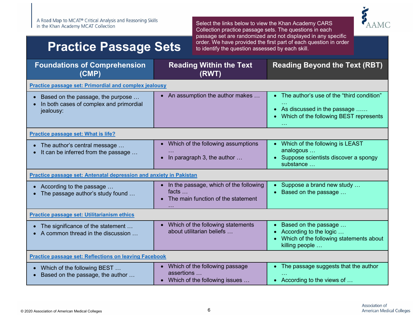### **Practice Passage Sets**



| <b>Foundations of Comprehension</b><br>(CMP)                                              | <b>Reading Within the Text</b><br>(RWT)                                                       | <b>Reading Beyond the Text (RBT)</b>                                                                                                            |
|-------------------------------------------------------------------------------------------|-----------------------------------------------------------------------------------------------|-------------------------------------------------------------------------------------------------------------------------------------------------|
| <b>Practice passage set: Primordial and complex jealousy</b>                              |                                                                                               |                                                                                                                                                 |
| Based on the passage, the purpose<br>In both cases of complex and primordial<br>jealousy: | • An assumption the author makes                                                              | • The author's use of the "third condition"<br>As discussed in the passage<br>$\bullet$<br>Which of the following BEST represents<br>$\sim 100$ |
| Practice passage set: What is life?                                                       |                                                                                               |                                                                                                                                                 |
| • The author's central message $\ldots$<br>It can be inferred from the passage            | • Which of the following assumptions<br>In paragraph 3, the author                            | • Which of the following is LEAST<br>analogous<br>Suppose scientists discover a spongy<br>substance                                             |
| Practice passage set: Antenatal depression and anxiety in Pakistan                        |                                                                                               |                                                                                                                                                 |
| • According to the passage<br>• The passage author's study found                          | In the passage, which of the following<br>facts $\dots$<br>The main function of the statement | Suppose a brand new study<br>Based on the passage                                                                                               |
| <b>Practice passage set: Utilitarianism ethics</b>                                        |                                                                                               |                                                                                                                                                 |
| • The significance of the statement<br>A common thread in the discussion                  | Which of the following statements<br>about utilitarian beliefs                                | Based on the passage<br>According to the logic<br>Which of the following statements about<br>killing people                                     |
| <b>Practice passage set: Reflections on leaving Facebook</b>                              |                                                                                               |                                                                                                                                                 |
| • Which of the following BEST<br>Based on the passage, the author                         | Which of the following passage<br>assertions<br>Which of the following issues<br>$\bullet$    | The passage suggests that the author<br>According to the views of                                                                               |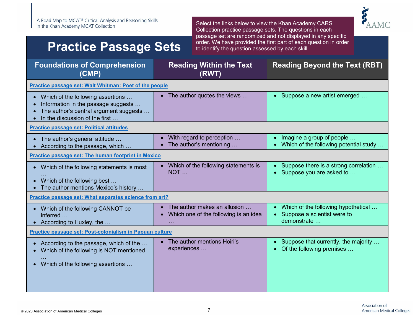### **Practice Passage Sets**



| <b>Foundations of Comprehension</b><br>(CMP)                                                                                                           | <b>Reading Within the Text</b><br>(RWT)                               | <b>Reading Beyond the Text (RBT)</b>                                              |
|--------------------------------------------------------------------------------------------------------------------------------------------------------|-----------------------------------------------------------------------|-----------------------------------------------------------------------------------|
| Practice passage set: Walt Whitman: Poet of the people                                                                                                 |                                                                       |                                                                                   |
| • Which of the following assertions<br>Information in the passage suggests<br>The author's central argument suggests<br>In the discussion of the first | The author quotes the views                                           | • Suppose a new artist emerged                                                    |
| <b>Practice passage set: Political attitudes</b>                                                                                                       |                                                                       |                                                                                   |
| • The author's general attitude<br>• According to the passage, which                                                                                   | With regard to perception<br>The author's mentioning                  | Imagine a group of people<br>Which of the following potential study               |
| Practice passage set: The human footprint in Mexico                                                                                                    |                                                                       |                                                                                   |
| • Which of the following statements is most<br>Which of the following best<br>The author mentions Mexico's history                                     | Which of the following statements is<br>NOT                           | Suppose there is a strong correlation<br>Suppose you are asked to                 |
| Practice passage set: What separates science from art?                                                                                                 |                                                                       |                                                                                   |
| • Which of the following CANNOT be<br>inferred<br>• According to Huxley, the                                                                           | The author makes an allusion<br>Which one of the following is an idea | Which of the following hypothetical<br>Suppose a scientist were to<br>demonstrate |
| Practice passage set: Post-colonialism in Papuan culture                                                                                               |                                                                       |                                                                                   |
| According to the passage, which of the<br>Which of the following is NOT mentioned<br>• Which of the following assertions                               | The author mentions Hoiri's<br>experiences                            | Suppose that currently, the majority<br>Of the following premises                 |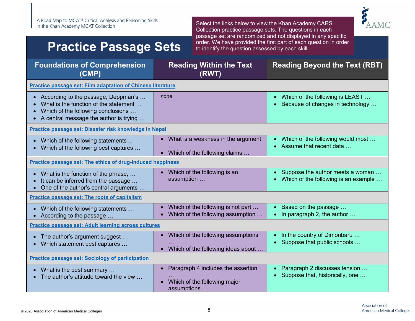### **Practice Passage Sets**



| <b>Foundations of Comprehension</b><br>(CMP)                                                                                                                     | <b>Reading Within the Text</b><br>(RWT)                                           | <b>Reading Beyond the Text (RBT)</b>                                             |
|------------------------------------------------------------------------------------------------------------------------------------------------------------------|-----------------------------------------------------------------------------------|----------------------------------------------------------------------------------|
| Practice passage set: Film adaptation of Chinese literature                                                                                                      |                                                                                   |                                                                                  |
| • According to the passage, Deppman's<br>What is the function of the statement<br>Which of the following conclusions<br>• A central message the author is trying | none                                                                              | Which of the following is LEAST<br>$\bullet$<br>Because of changes in technology |
| Practice passage set: Disaster risk knowledge in Nepal                                                                                                           |                                                                                   |                                                                                  |
| • Which of the following statements<br>• Which of the following best captures                                                                                    | What is a weakness in the argument<br>Which of the following claims               | Which of the following would most<br>Assume that recent data                     |
| Practice passage set: The ethics of drug-induced happiness                                                                                                       |                                                                                   |                                                                                  |
| • What is the function of the phrase,<br>It can be inferred from the passage<br>One of the author's central arguments                                            | Which of the following is an<br>assumption                                        | Suppose the author meets a woman<br>Which of the following is an example         |
| Practice passage set: The roots of capitalism                                                                                                                    |                                                                                   |                                                                                  |
| Which of the following statements<br>$\bullet$<br>According to the passage                                                                                       | Which of the following is not part<br>Which of the following assumption           | Based on the passage<br>In paragraph 2, the author                               |
| Practice passage set: Adult learning across cultures                                                                                                             |                                                                                   |                                                                                  |
| • The author's argument suggest<br>Which statement best captures                                                                                                 | Which of the following assumptions<br>Which of the following ideas about          | In the country of Dimonbaru<br>Suppose that public schools                       |
| <b>Practice passage set: Sociology of participation</b>                                                                                                          |                                                                                   |                                                                                  |
| What is the best summary<br>The author's attitude toward the view                                                                                                | Paragraph 4 includes the assertion<br>Which of the following major<br>assumptions | Paragraph 2 discusses tension<br>Suppose that, historically, one                 |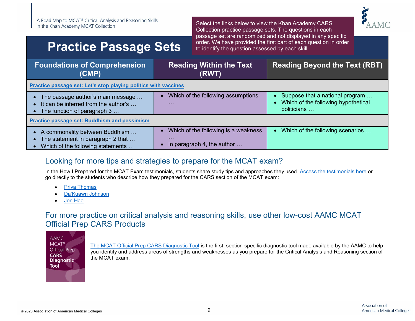### **Practice Passage Sets**

Select the links below to view the Khan Academy CARS Collection practice passage sets. The questions in each passage set are randomized and not displayed in any specific order. We have provided the first part of each question in order to identify the question assessed by each skill.



| <b>Foundations of Comprehension</b><br>(CMP)                                                                 | <b>Reading Within the Text</b><br>(RWT)                                        | <b>Reading Beyond the Text (RBT)</b>                                                                            |
|--------------------------------------------------------------------------------------------------------------|--------------------------------------------------------------------------------|-----------------------------------------------------------------------------------------------------------------|
| Practice passage set: Let's stop playing politics with vaccines                                              |                                                                                |                                                                                                                 |
| • The passage author's main message<br>• It can be inferred from the author's<br>The function of paragraph 3 | Which of the following assumptions<br>$\sim$ $\sim$ $\sim$                     | Suppose that a national program<br>$\bullet$<br>Which of the following hypothetical<br>$\bullet$<br>politicians |
| <b>Practice passage set: Buddhism and pessimism</b>                                                          |                                                                                |                                                                                                                 |
| • A commonality between Buddhism<br>The statement in paragraph 2 that<br>Which of the following statements   | Which of the following is a weakness<br>$\cdots$<br>In paragraph 4, the author | Which of the following scenarios<br>$\bullet$                                                                   |

#### <span id="page-9-0"></span>Looking for more tips and strategies to prepare for the MCAT exam?

In the How I Prepared for the MCAT Exam testimonials, students share study tips and approaches they used. [Access the testimonials here](https://students-residents.aamc.org/applying-medical-school/taking-mcat-exam/how-i-prepared-mcat-exam/) or go directly to the students who describe how they prepared for the CARS section of the MCAT exam:

- [Priya Thomas](https://students-residents.aamc.org/applying-medical-school/article/priya-thomas/%20Priya%20Thomas)
- [Da'Kuawn Johnson](https://students-residents.aamc.org/applying-medical-school/article/dakuawn-johnson/)
- [Jen Hao](https://students-residents.aamc.org/applying-medical-school/article/jh/)

#### <span id="page-9-1"></span>For more practice on critical analysis and reasoning skills, use other low-cost AAMC MCAT Official Prep CARS Products

**AAMC MCAT®** Official Prep **CARS Diagnostic** Tool

[The MCAT Official Prep CARS Diagnostic Tool](https://store.aamc.org/aamc-mcat-official-prep-cars-diagnostic-tool.html) is the first, section-specific diagnostic tool made available by the AAMC to help you identify and address areas of strengths and weaknesses as you prepare for the Critical Analysis and Reasoning section of the MCAT exam.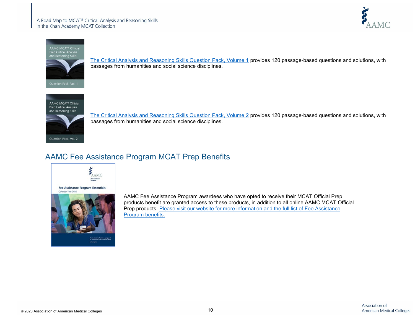



[The Critical Analysis and Reasoning Skills Question Pack, Volume 1](https://store.aamc.org/official-mcat-critical-analysis-and-reasoning-skills-question-pack-volume-1-online.html) provides 120 passage-based questions and solutions, with passages from humanities and social science disciplines.



[The Critical Analysis and Reasoning Skills Question Pack, Volume 2](https://store.aamc.org/official-mcat-critical-analysis-and-reasoning-skills-question-pack-volume-2-online.html) provides 120 passage-based questions and solutions, with passages from humanities and social science disciplines.

#### <span id="page-10-0"></span>AAMC Fee Assistance Program MCAT Prep Benefits



AAMC Fee Assistance Program awardees who have opted to receive their MCAT Official Prep products benefit are granted access to these products, in addition to all online AAMC MCAT Official Prep products. Please visit our website for more information and the full list of Fee Assistance [Program benefits.](https://students-residents.aamc.org/applying-medical-school/applying-medical-school-process/fee-assistance-program/)